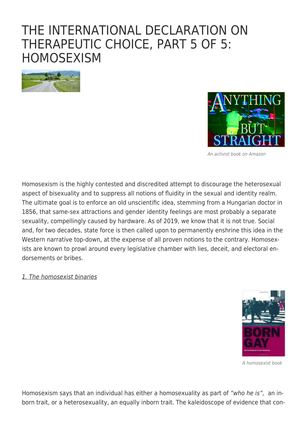# [THE INTERNATIONAL DECLARATION ON](https://exgaycalling.com/2022/05/25/the-international-declaration-on-therapeutic-choice-part-5-of-5-homosexism/) [THERAPEUTIC CHOICE, PART 5 OF 5:](https://exgaycalling.com/2022/05/25/the-international-declaration-on-therapeutic-choice-part-5-of-5-homosexism/) **[HOMOSEXISM](https://exgaycalling.com/2022/05/25/the-international-declaration-on-therapeutic-choice-part-5-of-5-homosexism/)**





An activist book on Amazon

Homosexism is the highly contested and discredited attempt to discourage the heterosexual aspect of bisexuality and to suppress all notions of fluidity in the sexual and identity realm. The ultimate goal is to enforce an old unscientific idea, stemming from a Hungarian doctor in 1856, that same-sex attractions and gender identity feelings are most probably a separate sexuality, compellingly caused by hardware. As of 2019, we know that it is not true. Social and, for two decades, state force is then called upon to permanently enshrine this idea in the Western narrative top-down, at the expense of all proven notions to the contrary. Homosexists are known to prowl around every legislative chamber with lies, deceit, and electoral endorsements or bribes.

#### 1. The homosexist binaries



A homosexist book

Homosexism says that an individual has either a homosexuality as part of "who he is", an inborn trait, or a heterosexuality, an equally inborn trait. The kaleidoscope of evidence that con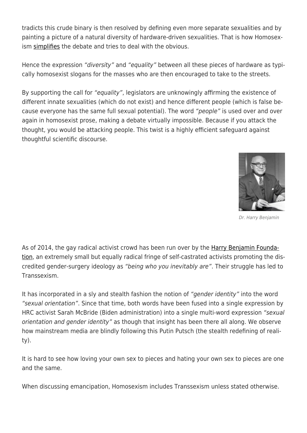tradicts this crude binary is then resolved by defining even more separate sexualities and by painting a picture of a natural diversity of hardware-driven sexualities. That is how Homosexism [simplifies](https://www.huffpost.com/entry/homosexuality--choice-born-science_n_2003361) the debate and tries to deal with the obvious.

Hence the expression "diversity" and "equality" between all these pieces of hardware as typically homosexist slogans for the masses who are then encouraged to take to the streets.

By supporting the call for "equality", legislators are unknowingly affirming the existence of different innate sexualities (which do not exist) and hence different people (which is false because everyone has the same full sexual potential). The word "people" is used over and over again in homosexist prose, making a debate virtually impossible. Because if you attack the thought, you would be attacking people. This twist is a highly efficient safeguard against thoughtful scientific discourse.



Dr. Harry Benjamin

As of 2014, the gay radical activist crowd has been run over by the [Harry Benjamin Founda](https://thetruthsource.org/transgender-history-timeline-and-studies/)[tion](https://thetruthsource.org/transgender-history-timeline-and-studies/), an extremely small but equally radical fringe of self-castrated activists promoting the discredited gender-surgery ideology as "being who you inevitably are". Their struggle has led to Transsexism.

It has incorporated in a sly and stealth fashion the notion of "gender identity" into the word "sexual orientation". Since that time, both words have been fused into a single expression by HRC activist Sarah McBride (Biden administration) into a single multi-word expression "sexual orientation and gender identity" as though that insight has been there all along. We observe how mainstream media are blindly following this Putin Putsch (the stealth redefining of reality).

It is hard to see how loving your own sex to pieces and hating your own sex to pieces are one and the same.

When discussing emancipation, Homosexism includes Transsexism unless stated otherwise.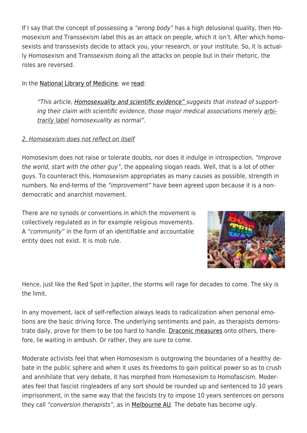If I say that the concept of possessing a "wrong body" has a high delusional quality, then Homosexism and Transsexism label this as an attack on people, which it isn't. After which homosexists and transsexists decide to attack you, your research, or your institute. So, it is actually Homosexism and Transsexism doing all the attacks on people but in their rhetoric, the roles are reversed.

In the [National Library of Medicine,](https://www.ncbi.nlm.nih.gov/pmc/articles/PMC4771012/) we [read](https://www.ncbi.nlm.nih.gov/pmc/articles/PMC4771012/):

"This article, [Homosexuality and scientific evidence" s](https://www.ncbi.nlm.nih.gov/pmc/articles/PMC4771012/)uggests that instead of supporting their claim with scientific evidence, those major medical associations merely arbitrarily label homosexuality as normal".

### 2. Homosexism does not reflect on itself

Homosexism does not raise or tolerate doubts, nor does it indulge in introspection. "Improve the world, start with the other guy", the appealing slogan reads. Well, that is a lot of other guys. To counteract this, Homosexism appropriates as many causes as possible, strength in numbers. No end-terms of the "improvement" have been agreed upon because it is a nondemocratic and anarchist movement.

There are no synods or conventions in which the movement is collectively regulated as in for example religious movements. A "community" in the form of an identifiable and accountable entity does not exist. It is mob rule.



Hence, just like the Red Spot in Jupiter, the storms will rage for decades to come. The sky is the limit.

In any movement, lack of self-reflection always leads to radicalization when personal emotions are the basic driving force. The underlying sentiments and pain, as therapists demonstrate daily, prove for them to be too hard to handle. [Draconic measures](https://tasmaniantimes.com/2022/05/tlri-releases-report-on-gender-conversion-practices/) onto others, therefore, lie waiting in ambush. Or rather, they are sure to come.

Moderate activists feel that when Homosexism is outgrowing the boundaries of a healthy debate in the public sphere and when it uses its freedoms to gain political power so as to crush and annihilate that very debate, it has morphed from Homosexism to Homofascism. Moderates feel that fascist ringleaders of any sort should be rounded up and sentenced to 10 years imprisonment, in the same way that the fascists try to impose 10 years sentences on persons they call "conversion therapists", as in [Melbourne AU](https://www.abc.net.au/news/2021-02-05/victorias-gay-conversion-bill-passes-upper-house/13122058). The debate has become ugly.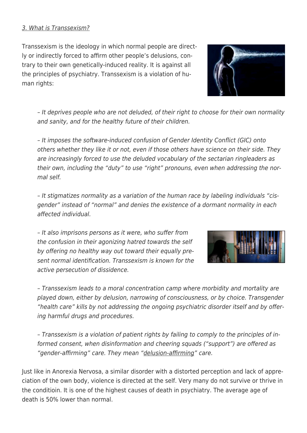### 3. What is Transsexism?

Transsexism is the ideology in which normal people are directly or indirectly forced to affirm other people's delusions, contrary to their own genetically-induced reality. It is against all the principles of psychiatry. Transsexism is a violation of human rights:

– It deprives people who are not deluded, of their right to choose for their own normality and sanity, and for the healthy future of their children.

– It imposes the software-induced confusion of Gender Identity Conflict (GIC) onto others whether they like it or not, even if those others have science on their side. They are increasingly forced to use the deluded vocabulary of the sectarian ringleaders as their own, including the "duty" to use "right" pronouns, even when addressing the normal self.

– It stigmatizes normality as a variation of the human race by labeling individuals "cisgender" instead of "normal" and denies the existence of a dormant normality in each affected individual.

– It also imprisons persons as it were, who suffer from the confusion in their agonizing hatred towards the self by offering no healthy way out toward their equally present normal identification. Transsexism is known for the active persecution of dissidence.

– Transsexism leads to a moral concentration camp where morbidity and mortality are played down, either by delusion, narrowing of consciousness, or by choice. Transgender "health care" kills by not addressing the ongoing psychiatric disorder itself and by offering harmful drugs and procedures.

– Transsexism is a violation of patient rights by failing to comply to the principles of informed consent, when disinformation and cheering squads ("support") are offered as "gender-affirming" care. They mean "delusion-affirming" care.

Just like in Anorexia Nervosa, a similar disorder with a distorted perception and lack of appreciation of the own body, violence is directed at the self. Very many do not survive or thrive in the conditioin. It is one of the highest causes of death in psychiatry. The average age of death is 50% lower than normal.



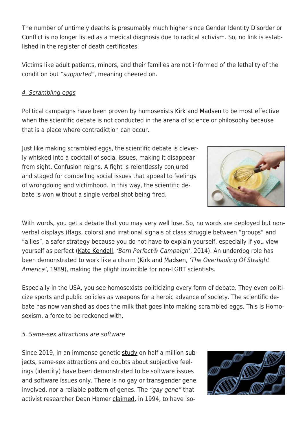The number of untimely deaths is presumably much higher since Gender Identity Disorder or Conflict is no longer listed as a medical diagnosis due to radical activism. So, no link is established in the register of death certificates.

Victims like adult patients, minors, and their families are not informed of the lethality of the condition but "supported", meaning cheered on.

### 4. Scrambling eggs

Political campaigns have been proven by homosexists [Kirk and Madsen](https://en.wikipedia.org/wiki/After_the_Ball_(Kirk_and_Madsen_book)) to be most effective when the scientific debate is not conducted in the arena of science or philosophy because that is a place where contradiction can occur.

Just like making scrambled eggs, the scientific debate is cleverly whisked into a cocktail of social issues, making it disappear from sight. Confusion reigns. A fight is relentlessly conjured and staged for compelling social issues that appeal to feelings of wrongdoing and victimhood. In this way, the scientific debate is won without a single verbal shot being fired.

With words, you get a debate that you may very well lose. So, no words are deployed but nonverbal displays (flags, colors) and irrational signals of class struggle between "groups" and "allies", a safer strategy because you do not have to explain yourself, especially if you view yourself as perfect [\(Kate Kendall](https://www.youtube.com/watch?v=vNQvIbEzX7M), 'Born Perfect® Campaign', 2014). An underdog role has been demonstrated to work like a charm ([Kirk and Madsen](https://en.wikipedia.org/wiki/After_the_Ball_(Kirk_and_Madsen_book)), 'The Overhauling Of Straight America', 1989), making the plight invincible for non-LGBT scientists.

Especially in the USA, you see homosexists politicizing every form of debate. They even politicize sports and public policies as weapons for a heroic advance of society. The scientific debate has now vanished as does the milk that goes into making scrambled eggs. This is Homosexism, a force to be reckoned with.

### 5. Same-sex attractions are software

Since 2019, in an immense genetic [study](https://exgaycalling.com/wp-content/uploads/2021/01/eaat7693.full_.pdf) on half a million subjects, same-sex attractions and doubts about subjective feelings (identity) have been demonstrated to be software issues and software issues only. There is no gay or transgender gene involved, nor a reliable pattern of genes. The "gay gene" that activist researcher Dean Hamer [claimed,](https://embryo.asu.edu/pages/linkage-between-dna-markers-x-chromosome-and-male-sexual-orientation-1993-dean-h-hamer-and) in 1994, to have iso-



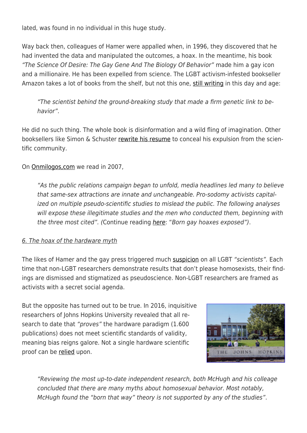lated, was found in no individual in this huge study.

Way back then, colleagues of Hamer were appalled when, in 1996, they discovered that he had invented the data and manipulated the outcomes, a hoax. In the meantime, his book "The Science Of Desire: The Gay Gene And The Biology Of Behavior" made him a gay icon and a millionaire. He has been expelled from science. The LGBT activism-infested bookseller Amazon takes a lot of books from the shelf, but not this one, [still writing](https://www.amazon.com/Science-Desire-Search-Biology-Behavior/dp/0671887246/ref=sr_1_1?crid=G0YGN01DNO90&keywords=the+science+of+desire&qid=1653117759&sprefix=the+science+of+d%2Caps%2C1856&sr=8-1) in this day and age:

"The scientist behind the ground-breaking study that made a firm genetic link to behavior".

He did no such thing. The whole book is disinformation and a wild fling of imagination. Other booksellers like Simon & Schuster [rewrite his resume](https://www.simonandschuster.com/books/Science-of-Desire/Dean-Hamer/9780684804460) to conceal his expulsion from the scientific community.

On [Onmilogos,com](https://omnilogos.com/born-gay-hoax-studies-exposed/) we read in 2007,

"As the public relations campaign began to unfold, media headlines led many to believe that same-sex attractions are innate and unchangeable. Pro-sodomy activists capitalized on multiple pseudo-scientific studies to mislead the public. The following analyses will expose these illegitimate studies and the men who conducted them, beginning with the three most cited". (Continue reading [here](https://omnilogos.com/born-gay-hoax-studies-exposed/): "Born gay hoaxes exposed").

### 6. The hoax of the hardware myth

The likes of Hamer and the gay press triggered much [suspicion](https://babylondrifter.wordpress.com/2011/03/31/evidence-for-the-biological-basis-of-homosexuality/) on all LGBT "scientists". Each time that non-LGBT researchers demonstrate results that don't please homosexists, their findings are dismissed and stigmatized as pseudoscience. Non-LGBT researchers are framed as activists with a secret social agenda.

But the opposite has turned out to be true. In 2016, inquisitive researchers of Johns Hopkins University revealed that all research to date that "proves" the hardware paradigm (1.600) publications) does not meet scientific standards of validity, meaning bias reigns galore. Not a single hardware scientific proof can be [relied](https://www.churchmilitant.com/news/article/doctor-who-questions-transgenderism-will-not-be-silenced) upon.



"Reviewing the most up-to-date independent research, both McHugh and his colleage concluded that there are many myths about homosexual behavior. Most notably, McHugh found the "born that way" theory is not supported by any of the studies".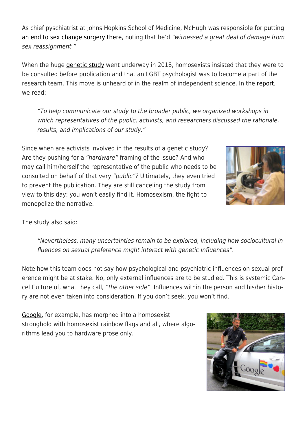As chief pyschiatrist at Johns Hopkins School of Medicine, McHugh was responsible for [putting](http://www.dailywire.com/news/6300/former-johns-hopkins-chief-psychiatry-transgender-amanda-prestigiacomo) [an end to sex change surgery there](http://www.dailywire.com/news/6300/former-johns-hopkins-chief-psychiatry-transgender-amanda-prestigiacomo), noting that he'd "witnessed a great deal of damage from sex reassignment."

When the huge [genetic study](https://exgaycalling.com/wp-content/uploads/2021/01/eaat7693.full_.pdf) went underway in 2018, homosexists insisted that they were to be consulted before publication and that an LGBT psychologist was to become a part of the research team. This move is unheard of in the realm of independent science. In the [report](https://exgaycalling.com/wp-content/uploads/2021/01/eaat7693.full_.pdf), we read:

"To help communicate our study to the broader public, we organized workshops in which representatives of the public, activists, and researchers discussed the rationale, results, and implications of our study."

Since when are activists involved in the results of a genetic study? Are they pushing for a "hardware" framing of the issue? And who may call him/herself the representative of the public who needs to be consulted on behalf of that very "public"? Ultimately, they even tried to prevent the publication. They are still canceling the study from view to this day: you won't easily find it. Homosexism, the fight to monopolize the narrative.



The study also said:

"Nevertheless, many uncertainties remain to be explored, including how sociocultural influences on sexual preference might interact with genetic influences".

Note how this team does not say how psychological and psychiatric influences on sexual preference might be at stake. No, only external influences are to be studied. This is systemic Cancel Culture of, what they call, "the other side". Influences within the person and his/her history are not even taken into consideration. If you don't seek, you won't find.

[Google,](https://about.google/belonging/) for example, has morphed into a homosexist stronghold with homosexist rainbow flags and all, where algorithms lead you to hardware prose only.

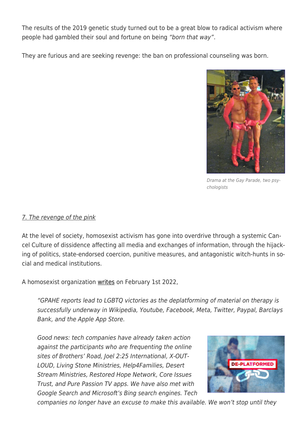The results of the 2019 genetic study turned out to be a great blow to radical activism where people had gambled their soul and fortune on being "born that way".

They are furious and are seeking revenge: the ban on professional counseling was born.



Drama at the Gay Parade, two psychologists

### 7. The revenge of the pink

At the level of society, homosexist activism has gone into overdrive through a systemic Cancel Culture of dissidence affecting all media and exchanges of information, through the hijacking of politics, state-endorsed coercion, punitive measures, and antagonistic witch-hunts in social and medical institutions.

A homosexist organization [writes](https://globalextremism.org/post/gpahe-conversion-therapy-reports-lead-to-results/) on February 1st 2022,

"GPAHE reports lead to LGBTQ victories as the deplatforming of material on therapy is successfully underway in Wikipedia, Youtube, Facebook, Meta, Twitter, Paypal, Barclays Bank, and the Apple App Store.

Good news: tech companies have already taken action against the participants who are frequenting the online sites of Brothers' Road, Joel 2:25 International, X-OUT-LOUD, Living Stone Ministries, Help4Families, Desert Stream Ministries, Restored Hope Network, Core Issues Trust, and Pure Passion TV apps. We have also met with Google Search and Microsoft's Bing search engines. Tech



companies no longer have an excuse to make this available. We won't stop until they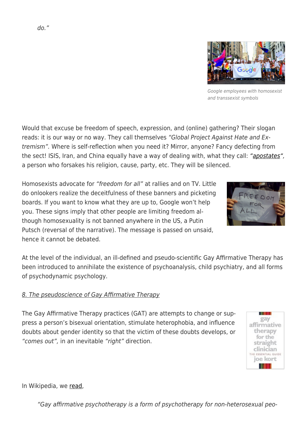Would that excuse be freedom of speech, expression, and (online) gathering? Their slogan reads: it is our way or no way. They call themselves "Global Project Against Hate and Extremism". Where is self-reflection when you need it? Mirror, anyone? Fancy defecting from the sect! ISIS, Iran, and China equally have a way of dealing with, what they call: ["apostates",](https://www.dictionary.com/browse/apostate) a person who forsakes his religion, cause, party, etc. They will be silenced.

Homosexists advocate for "freedom for all" at rallies and on TV. Little do onlookers realize the deceitfulness of these banners and picketing boards. If you want to know what they are up to, Google won't help you. These signs imply that other people are limiting freedom although homosexuality is not banned anywhere in the US, a Putin Putsch (reversal of the narrative). The message is passed on unsaid, hence it cannot be debated.

At the level of the individual, an ill-defined and pseudo-scientific Gay Affirmative Therapy has been introduced to annihilate the existence of psychoanalysis, child psychiatry, and all forms of psychodynamic psychology.

# 8. The pseudoscience of Gay Affirmative Therapy

The Gay Affirmative Therapy practices (GAT) are attempts to change or suppress a person's bisexual orientation, stimulate heterophobia, and influence doubts about gender identity so that the victim of these doubts develops, or "comes out", in an inevitable "right" direction.

### In Wikipedia, we [read](https://en.wikipedia.org/wiki/Gay_affirmative_psychotherapy),

"Gay affirmative psychotherapy is a form of psychotherapy for non-heterosexual peo-









and transsexist symbols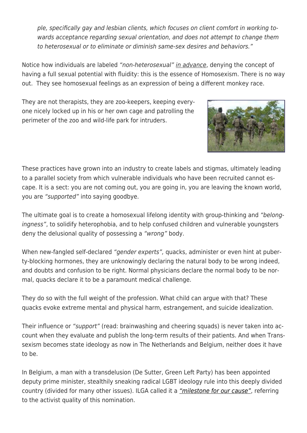ple, specifically gay and lesbian clients, which focuses on client comfort in working towards acceptance regarding sexual orientation, and does not attempt to change them to heterosexual or to eliminate or diminish same-sex desires and behaviors."

Notice how individuals are labeled "non-heterosexual" in advance, denying the concept of having a full sexual potential with fluidity: this is the essence of Homosexism. There is no way out. They see homosexual feelings as an expression of being a different monkey race.

They are not therapists, they are zoo-keepers, keeping everyone nicely locked up in his or her own cage and patrolling the perimeter of the zoo and wild-life park for intruders.



These practices have grown into an industry to create labels and stigmas, ultimately leading to a parallel society from which vulnerable individuals who have been recruited cannot escape. It is a sect: you are not coming out, you are going in, you are leaving the known world, you are "supported" into saying goodbye.

The ultimate goal is to create a homosexual lifelong identity with group-thinking and "belongingness", to solidify heterophobia, and to help confused children and vulnerable youngsters deny the delusional quality of possessing a "wrong" body.

When new-fangled self-declared "gender experts", quacks, administer or even hint at puberty-blocking hormones, they are unknowingly declaring the natural body to be wrong indeed, and doubts and confusion to be right. Normal physicians declare the normal body to be normal, quacks declare it to be a paramount medical challenge.

They do so with the full weight of the profession. What child can argue with that? These quacks evoke extreme mental and physical harm, estrangement, and suicide idealization.

Their influence or "support" (read: brainwashing and cheering squads) is never taken into account when they evaluate and publish the long-term results of their patients. And when Transsexism becomes state ideology as now in The Netherlands and Belgium, neither does it have to be.

In Belgium, a man with a transdelusion (De Sutter, Green Left Party) has been appointed deputy prime minister, stealthily sneaking radical LGBT ideology rule into this deeply divided country (divided for many other issues). ILGA called it a ["milestone for our cause"](https://www.politico.eu/article/petra-de-sutter-transgender-deputy-prime-minister-milestone-progress/), referring to the activist quality of this nomination.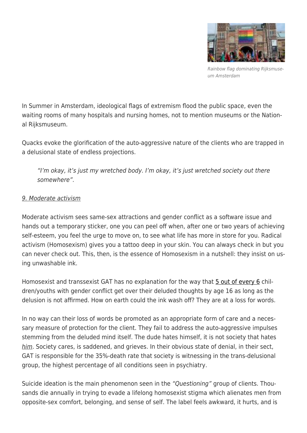

Rainbow flag dominating Rijksmuseum Amsterdam

In Summer in Amsterdam, ideological flags of extremism flood the public space, even the waiting rooms of many hospitals and nursing homes, not to mention museums or the National Rijksmuseum.

Quacks evoke the glorification of the auto-aggressive nature of the clients who are trapped in a delusional state of endless projections.

"I'm okay, it's just my wretched body. I'm okay, it's just wretched society out there somewhere".

### 9. Moderate activism

Moderate activism sees same-sex attractions and gender conflict as a software issue and hands out a temporary sticker, one you can peel off when, after one or two years of achieving self-esteem, you feel the urge to move on, to see what life has more in store for you. Radical activism (Homosexism) gives you a tattoo deep in your skin. You can always check in but you can never check out. This, then, is the essence of Homosexism in a nutshell: they insist on using unwashable ink.

Homosexist and transsexist GAT has no explanation for the way that [5 out of every 6](https://www.transgendertrend.com/children-change-minds/) children/youths with gender conflict get over their deluded thoughts by age 16 as long as the delusion is not affirmed. How on earth could the ink wash off? They are at a loss for words.

In no way can their loss of words be promoted as an appropriate form of care and a necessary measure of protection for the client. They fail to address the auto-aggressive impulses stemming from the deluded mind itself. The dude hates himself, it is not society that hates him. Society cares, is saddened, and grieves. In their obvious state of denial, in their sect, GAT is responsible for the 35%-death rate that society is witnessing in the trans-delusional group, the highest percentage of all conditions seen in psychiatry.

Suicide ideation is the main phenomenon seen in the "Questioning" group of clients. Thousands die annually in trying to evade a lifelong homosexist stigma which alienates men from opposite-sex comfort, belonging, and sense of self. The label feels awkward, it hurts, and is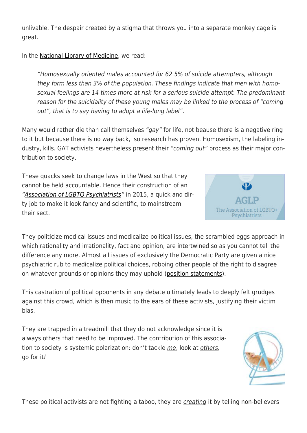unlivable. The despair created by a stigma that throws you into a separate monkey cage is great.

In the [National Library of Medicine,](https://pubmed.ncbi.nlm.nih.gov/9141776/) we read:

"Homosexually oriented males accounted for 62.5% of suicide attempters, although they form less than 3% of the population. These findings indicate that men with homosexual feelings are 14 times more at risk for a serious suicide attempt. The predominant reason for the suicidality of these young males may be linked to the process of "coming out", that is to say having to adopt a life-long label".

Many would rather die than call themselves "gay" for life, not beause there is a negative ring to it but because there is no way back, so research has proven. Homosexism, the labeling industry, kills. GAT activists nevertheless present their "coming out" process as their major contribution to society.

These quacks seek to change laws in the West so that they cannot be held accountable. Hence their construction of an ["Association of LGBTQ Psychiatrists](http://www.aglp.org/index.htm)" in 2015, a quick and dirty job to make it look fancy and scientific, to mainstream their sect.

They politicize medical issues and medicalize political issues, the scrambled eggs approach in which rationality and irrationality, fact and opinion, are intertwined so as you cannot tell the difference any more. Almost all issues of exclusively the Democratic Party are given a nice psychiatric rub to medicalize political choices, robbing other people of the right to disagree on whatever grounds or opinions they may uphold [\(position statements\)](https://aglp.org/Pages/education-advocacy.htm).

This castration of political opponents in any debate ultimately leads to deeply felt grudges against this crowd, which is then music to the ears of these activists, justifying their victim bias.

They are trapped in a treadmill that they do not acknowledge since it is always others that need to be improved. The contribution of this association to society is systemic polarization: don't tackle me, look at others, go for it!

These political activists are not fighting a taboo, they are creating it by telling non-believers



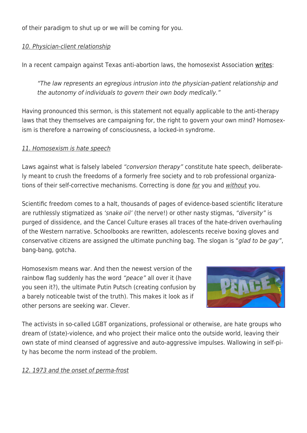of their paradigm to shut up or we will be coming for you.

### 10. Physician-client relationship

In a recent campaign against Texas anti-abortion laws, the homosexist Association [writes:](https://www.aglp.org/Pages/education-advocacy.htm)

"The law represents an egregious intrusion into the physician-patient relationship and the autonomy of individuals to govern their own body medically."

Having pronounced this sermon, is this statement not equally applicable to the anti-therapy laws that they themselves are campaigning for, the right to govern your own mind? Homosexism is therefore a narrowing of consciousness, a locked-in syndrome.

### 11. Homosexism is hate speech

Laws against what is falsely labeled "conversion therapy" constitute hate speech, deliberately meant to crush the freedoms of a formerly free society and to rob professional organizations of their self-corrective mechanisms. Correcting is done for you and without you.

Scientific freedom comes to a halt, thousands of pages of evidence-based scientific literature are ruthlessly stigmatized as 'snake oil' (the nerve!) or other nasty stigmas, "diversity" is purged of dissidence, and the Cancel Culture erases all traces of the hate-driven overhauling of the Western narrative. Schoolbooks are rewritten, adolescents receive boxing gloves and conservative citizens are assigned the ultimate punching bag. The slogan is "glad to be gay". bang-bang, gotcha.

Homosexism means war. And then the newest version of the rainbow flag suddenly has the word "peace" all over it (have you seen it?), the ultimate Putin Putsch (creating confusion by a barely noticeable twist of the truth). This makes it look as if other persons are seeking war. Clever.



The activists in so-called LGBT organizations, professional or otherwise, are hate groups who dream of (state)-violence, and who project their malice onto the outside world, leaving their own state of mind cleansed of aggressive and auto-aggressive impulses. Wallowing in self-pity has become the norm instead of the problem.

## 12. 1973 and the onset of perma-frost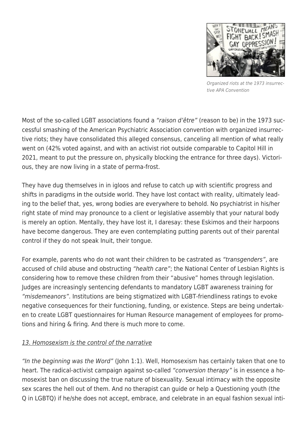

Organized riots at the 1973 insurrective APA Convention

Most of the so-called LGBT associations found a "raison d'être" (reason to be) in the 1973 successful smashing of the American Psychiatric Association convention with organized insurrective riots; they have consolidated this alleged consensus, canceling all mention of what really went on (42% voted against, and with an activist riot outside comparable to Capitol Hill in 2021, meant to put the pressure on, physically blocking the entrance for three days). Victorious, they are now living in a state of perma-frost.

They have dug themselves in in igloos and refuse to catch up with scientific progress and shifts in paradigms in the outside world. They have lost contact with reality, ultimately leading to the belief that, yes, wrong bodies are everywhere to behold. No psychiatrist in his/her right state of mind may pronounce to a client or legislative assembly that your natural body is merely an option. Mentally, they have lost it, I daresay: these Eskimos and their harpoons have become dangerous. They are even contemplating putting parents out of their parental control if they do not speak Inuit, their tongue.

For example, parents who do not want their children to be castrated as "transgenders", are accused of child abuse and obstructing "health care"; the National Center of Lesbian Rights is considering how to remove these children from their "abusive" homes through legislation. Judges are increasingly sentencing defendants to mandatory LGBT awareness training for "misdemeanors". Institutions are being stigmatized with LGBT-friendliness ratings to evoke negative consequences for their functioning, funding, or existence. Steps are being undertaken to create LGBT questionnaires for Human Resource management of employees for promotions and hiring & firing. And there is much more to come.

## 13. Homosexism is the control of the narrative

"In the beginning was the Word" (John 1:1). Well, Homosexism has certainly taken that one to heart. The radical-activist campaign against so-called "conversion therapy" is in essence a homosexist ban on discussing the true nature of bisexuality. Sexual intimacy with the opposite sex scares the hell out of them. And no therapist can guide or help a Questioning youth (the Q in LGBTQ) if he/she does not accept, embrace, and celebrate in an equal fashion sexual inti-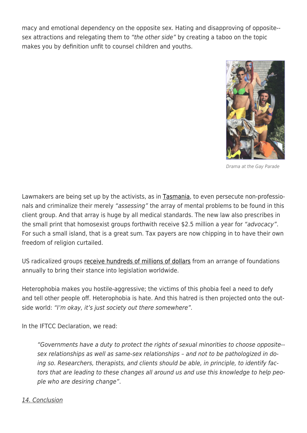macy and emotional dependency on the opposite sex. Hating and disapproving of opposite- sex attractions and relegating them to "the other side" by creating a taboo on the topic makes you by definition unfit to counsel children and youths.



Drama at the Gay Parade

Lawmakers are being set up by the activists, as in [Tasmania](https://tasmaniantimes.com/2022/05/tlri-releases-report-on-gender-conversion-practices/), to even persecute non-professionals and criminalize their merely "assessing" the array of mental problems to be found in this client group. And that array is huge by all medical standards. The new law also prescribes in the small print that homosexist groups forthwith receive \$2.5 million a year for "advocacy". For such a small island, that is a great sum. Tax payers are now chipping in to have their own freedom of religion curtailed.

US radicalized groups [receive hundreds of millions of dollars](https://www.fundsforngos.org/foundation-funds-for-ngos/20-foundations-trusts-fund-lgbt-programs/) from an arrange of foundations annually to bring their stance into legislation worldwide.

Heterophobia makes you hostile-aggressive; the victims of this phobia feel a need to defy and tell other people off. Heterophobia is hate. And this hatred is then projected onto the outside world: "I'm okay, it's just society out there somewhere".

In the IFTCC Declaration, we read:

"Governments have a duty to protect the rights of sexual minorities to choose opposite- sex relationships as well as same-sex relationships – and not to be pathologized in doing so. Researchers, therapists, and clients should be able, in principle, to identify factors that are leading to these changes all around us and use this knowledge to help people who are desiring change".

### 14. Conclusion